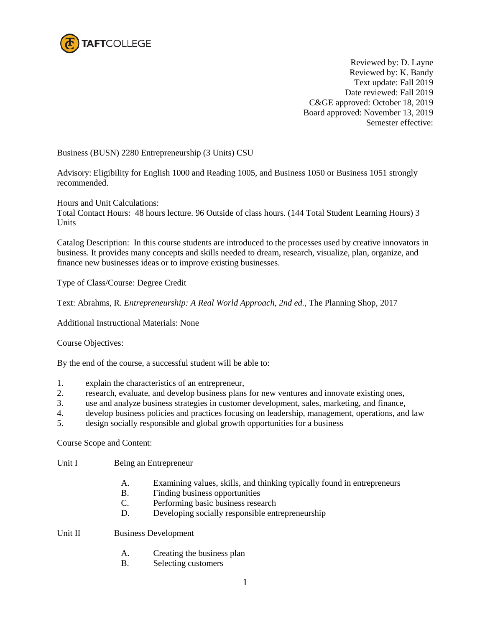

Reviewed by: D. Layne Reviewed by: K. Bandy Text update: Fall 2019 Date reviewed: Fall 2019 C&GE approved: October 18, 2019 Board approved: November 13, 2019 Semester effective:

## Business (BUSN) 2280 Entrepreneurship (3 Units) CSU

Advisory: Eligibility for English 1000 and Reading 1005, and Business 1050 or Business 1051 strongly recommended.

Hours and Unit Calculations:

Total Contact Hours: 48 hours lecture. 96 Outside of class hours. (144 Total Student Learning Hours) 3 Units

Catalog Description: In this course students are introduced to the processes used by creative innovators in business. It provides many concepts and skills needed to dream, research, visualize, plan, organize, and finance new businesses ideas or to improve existing businesses.

Type of Class/Course: Degree Credit

Text: Abrahms, R. *Entrepreneurship: A Real World Approach, 2nd ed.,* The Planning Shop, 2017

Additional Instructional Materials: None

Course Objectives:

By the end of the course, a successful student will be able to:

- 1. explain the characteristics of an entrepreneur,
- 2. research, evaluate, and develop business plans for new ventures and innovate existing ones,
- 3. use and analyze business strategies in customer development, sales, marketing, and finance,
- 4. develop business policies and practices focusing on leadership, management, operations, and law
- 5. design socially responsible and global growth opportunities for a business

Course Scope and Content:

- Unit I Being an Entrepreneur
	- A. Examining values, skills, and thinking typically found in entrepreneurs
	- B. Finding business opportunities
	- C. Performing basic business research
	- D. Developing socially responsible entrepreneurship

Unit II Business Development

- A. Creating the business plan
- B. Selecting customers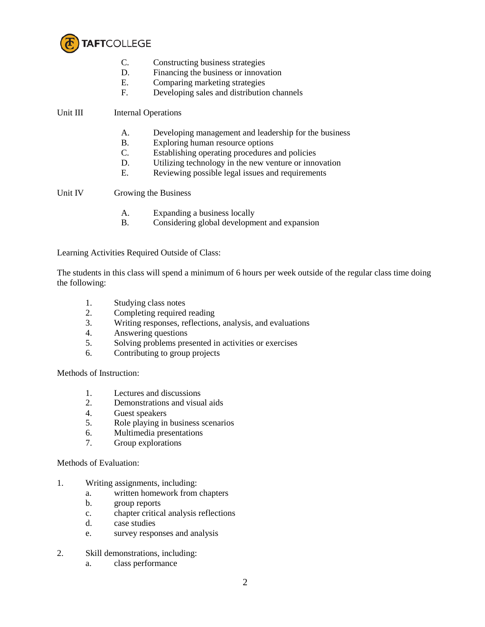

- C. Constructing business strategies
- D. Financing the business or innovation
- E. Comparing marketing strategies
- F. Developing sales and distribution channels

Unit III Internal Operations

- A. Developing management and leadership for the business
- B. Exploring human resource options
- C. Establishing operating procedures and policies
- D. Utilizing technology in the new venture or innovation
- E. Reviewing possible legal issues and requirements

Unit IV Growing the Business

- A. Expanding a business locally
- B. Considering global development and expansion

Learning Activities Required Outside of Class:

The students in this class will spend a minimum of 6 hours per week outside of the regular class time doing the following:

- 1. Studying class notes
- 2. Completing required reading
- 3. Writing responses, reflections, analysis, and evaluations
- 4. Answering questions
- 5. Solving problems presented in activities or exercises
- 6. Contributing to group projects

Methods of Instruction:

- 1. Lectures and discussions
- 2. Demonstrations and visual aids
- 4. Guest speakers
- 5. Role playing in business scenarios
- 6. Multimedia presentations
- 7. Group explorations

Methods of Evaluation:

- 1. Writing assignments, including:
	- a. written homework from chapters
	- b. group reports
	- c. chapter critical analysis reflections
	- d. case studies
	- e. survey responses and analysis
- 2. Skill demonstrations, including:
	- a. class performance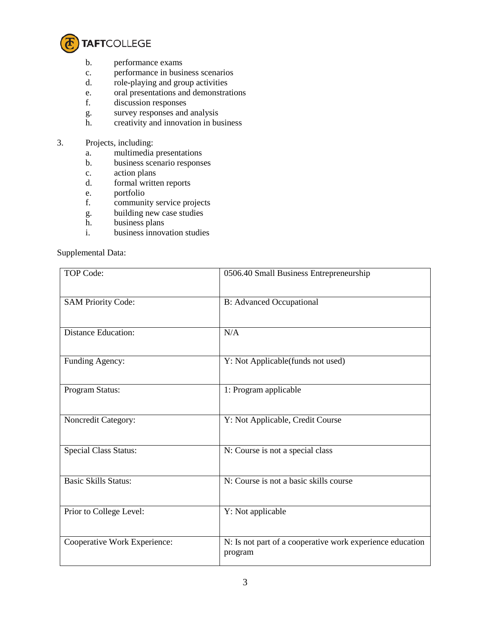

- b. performance exams
- c. performance in business scenarios
- d. role-playing and group activities
- e. oral presentations and demonstrations
- f. discussion responses
- g. survey responses and analysis<br>h. creativity and innovation in bu
- creativity and innovation in business
- 3. Projects, including:
	- a. multimedia presentations
	- b. business scenario responses
	- c. action plans<br>d. formal writte
	- formal written reports
	- e. portfolio
	- f. community service projects
	- g. building new case studies
	- h. business plans
	- i. business innovation studies

## Supplemental Data:

| TOP Code:                    | 0506.40 Small Business Entrepreneurship                              |
|------------------------------|----------------------------------------------------------------------|
| <b>SAM Priority Code:</b>    | <b>B:</b> Advanced Occupational                                      |
| <b>Distance Education:</b>   | N/A                                                                  |
| Funding Agency:              | Y: Not Applicable(funds not used)                                    |
| Program Status:              | 1: Program applicable                                                |
| Noncredit Category:          | Y: Not Applicable, Credit Course                                     |
| <b>Special Class Status:</b> | N: Course is not a special class                                     |
| <b>Basic Skills Status:</b>  | N: Course is not a basic skills course                               |
| Prior to College Level:      | Y: Not applicable                                                    |
| Cooperative Work Experience: | N: Is not part of a cooperative work experience education<br>program |